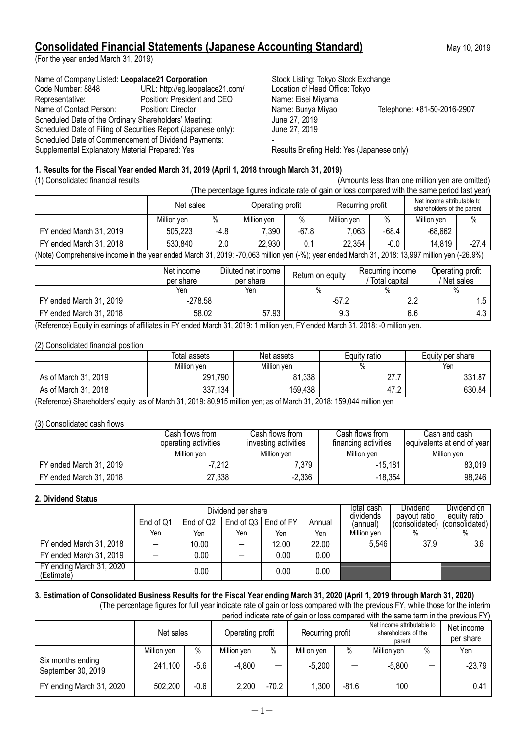# **Consolidated Financial Statements (Japanese Accounting Standard)** May 10, 2019

(For the year ended March 31, 2019)

Name of Company Listed: Leopalace21 Corporation **Stock Listing: Tokyo Stock Exchange** Code Number: 8848 URL: http://eg.leopalace21.com/ Location of Head Office: Tokyo Representative: Position: President and CEO Name: Eisei Miyama Name of Contact Person: Position: Director Name: Bunya Miyao Telephone: +81-50-2016-2907 Scheduled Date of the Ordinary Shareholders' Meeting: June 27, 2019<br>Scheduled Date of Filing of Securities Report (Japanese only): June 27, 2019 Scheduled Date of Filing of Securities Report (Japanese only): Scheduled Date of Commencement of Dividend Payments: Supplemental Explanatory Material Prepared: Yes Results Briefing Held: Yes (Japanese only)

# **1. Results for the Fiscal Year ended March 31, 2019 (April 1, 2018 through March 31, 2019)**

| (1) Consolidated financial results                                                                                                          | (Amounts less than one million yen are omitted) |                                                                                                               |             |         |             |         |             |         |  |  |
|---------------------------------------------------------------------------------------------------------------------------------------------|-------------------------------------------------|---------------------------------------------------------------------------------------------------------------|-------------|---------|-------------|---------|-------------|---------|--|--|
|                                                                                                                                             |                                                 | (The percentage figures indicate rate of gain or loss compared with the same period last year)                |             |         |             |         |             |         |  |  |
|                                                                                                                                             |                                                 | Net income attributable to<br>Recurring profit<br>Operating profit<br>Net sales<br>shareholders of the parent |             |         |             |         |             |         |  |  |
|                                                                                                                                             | Million ven                                     | $\%$                                                                                                          | Million yen | $\%$    | Million ven | $\%$    | Million yen | $\%$    |  |  |
| FY ended March 31, 2019                                                                                                                     | 505,223                                         | -4.8                                                                                                          | 7,390       | $-67.8$ | 7,063       | $-68.4$ | $-68.662$   |         |  |  |
| FY ended March 31, 2018                                                                                                                     | 530,840                                         | 2.0                                                                                                           | 22.930      | 0.1     | 22.354      | $-0.0$  | 14.819      | $-27.4$ |  |  |
| (Note) Comprehensive income in the vear anded March 21, 2010; 70,062 million ven (%); year anded March 21, 2018; 12,007 million ven (26,0%) |                                                 |                                                                                                               |             |         |             |         |             |         |  |  |

(Note) Comprehensive income in the year ended March 31, 2019: -70,063 million yen (-%); year ended March 31, 2018: 13,997 million yen (-26.9%)

|                                                                                                                                   | Net income<br>per share | Diluted net income<br>per share | Return on equity | Recurring income<br>Total capital | Operating profit<br>Net sales |
|-----------------------------------------------------------------------------------------------------------------------------------|-------------------------|---------------------------------|------------------|-----------------------------------|-------------------------------|
|                                                                                                                                   | Yen                     | Yen                             |                  | $\%$                              |                               |
| FY ended March 31, 2019                                                                                                           | $-278.58$               | –                               | $-57.2$          | 2.2                               | 1.5                           |
| FY ended March 31, 2018                                                                                                           | 58.02                   | 57.93                           | 9.3              | 6.6                               | $4.3^{\circ}$                 |
| (Deference) Equity in consinuous of effliction in EV angled Moreh 24, 2010; 4 million was EV angled Moreh 24, 2010; A million was |                         |                                 |                  |                                   |                               |

(Reference) Equity in earnings of affiliates in FY ended March 31, 2019: 1 million yen, FY ended March 31, 2018: -0 million yen.

### (2) Consolidated financial position

|                      | Total assets | Net assets  | Equity ratio | Equity per share |  |
|----------------------|--------------|-------------|--------------|------------------|--|
|                      | Million ven  | Million ven | $\%$         | Yen              |  |
| As of March 31, 2019 | 291,790      | 81,338      | 27.          | 331.87           |  |
| As of March 31, 2018 | 337,134      | 159,438     | 47.2         | 630.84           |  |

(Reference) Shareholders' equity as of March 31, 2019: 80,915 million yen; as of March 31, 2018: 159,044 million yen

### (3) Consolidated cash flows

|                         | Cash flows from .<br>operating activities | Cash flows from<br>investing activities | Cash flows from<br>financing activities | Cash and cash<br>equivalents at end of year |
|-------------------------|-------------------------------------------|-----------------------------------------|-----------------------------------------|---------------------------------------------|
|                         | Million yen                               | Million ven                             | Million yen                             | Million ven                                 |
| FY ended March 31, 2019 | $-7,212$                                  | 7.379                                   | $-15,181$                               | 83,019                                      |
| FY ended March 31, 2018 | 27,338                                    | $-2,336$                                | $-18,354$                               | 98,246                                      |

### **2. Dividend Status**

|                                        |           |           | Dividend per share  | Total cash<br>dividends | <b>Dividend</b><br>payout ratio | Dividend on<br>equity ratio |                |                |
|----------------------------------------|-----------|-----------|---------------------|-------------------------|---------------------------------|-----------------------------|----------------|----------------|
|                                        | End of Q1 | End of Q2 | End of $Q3$ $\vert$ | End of FY               | Annual                          | (annual)                    | (consolidated) | (consolidated) |
|                                        | Yen       | Yen       | Yen                 | Yen                     | Yen                             | Million ven                 | %              |                |
| FY ended March 31, 2018                |           | 10.00     |                     | 12.00                   | 22.00                           | 5,546                       | 37.9           | 3.6            |
| FY ended March 31, 2019                |           | 0.00      |                     | 0.00                    | 0.00                            |                             |                |                |
| FY ending March 31, 2020<br>(Estimate) |           | 0.00      |                     | 0.00                    | 0.00                            |                             |                |                |

# **3. Estimation of Consolidated Business Results for the Fiscal Year ending March 31, 2020 (April 1, 2019 through March 31, 2020)**

(The percentage figures for full year indicate rate of gain or loss compared with the previous FY, while those for the interim period indicate rate of gain or loss compared with the same term in the previous FY)

|                                         | Net sales   |        | Operating profit |       | Recurring profit |         | Net income attributable to<br>shareholders of the<br>parent |   | Net income<br>per share |
|-----------------------------------------|-------------|--------|------------------|-------|------------------|---------|-------------------------------------------------------------|---|-------------------------|
|                                         | Million yen | $\%$   | Million yen      | $\%$  | Million yen      | $\%$    | Million yen                                                 | % | Yen                     |
| Six months ending<br>September 30, 2019 | 241,100     | $-5.6$ | $-4,800$         |       | $-5.200$         |         | $-5,800$                                                    |   | $-23.79$                |
| FY ending March 31, 2020                | 502,200     | $-0.6$ | 2,200            | -70.2 | 1,300            | $-81.6$ | 100                                                         |   | 0.41                    |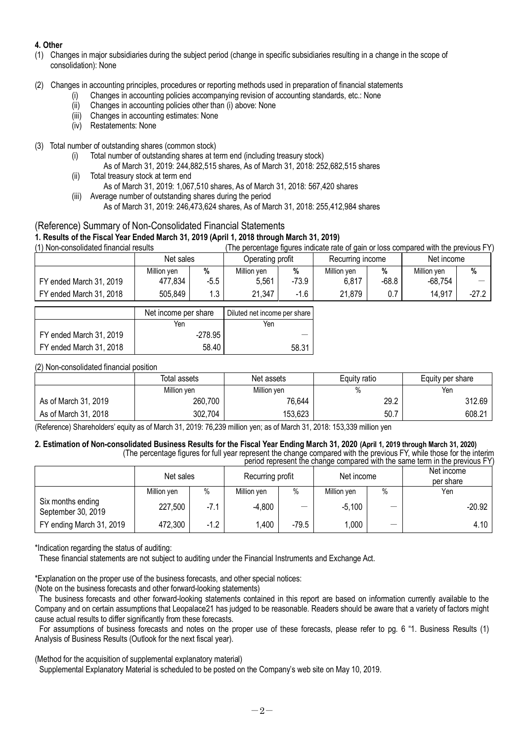# **4. Other**

- (1) Changes in major subsidiaries during the subject period (change in specific subsidiaries resulting in a change in the scope of consolidation): None
- (2) Changes in accounting principles, procedures or reporting methods used in preparation of financial statements
	- (i) Changes in accounting policies accompanying revision of accounting standards, etc.: None
	- (ii) Changes in accounting policies other than (i) above: None
	- (iii) Changes in accounting estimates: None
	- (iv) Restatements: None

### (3) Total number of outstanding shares (common stock)

- (i) Total number of outstanding shares at term end (including treasury stock)
	- As of March 31, 2019: 244,882,515 shares, As of March 31, 2018: 252,682,515 shares
- (ii) Total treasury stock at term end As of March 31, 2019: 1,067,510 shares, As of March 31, 2018: 567,420 shares
- (iii) Average number of outstanding shares during the period As of March 31, 2019: 246,473,624 shares, As of March 31, 2018: 255,412,984 shares

# (Reference) Summary of Non-Consolidated Financial Statements **1. Results of the Fiscal Year Ended March 31, 2019 (April 1, 2018 through March 31, 2019)**

(The percentage figures indicate rate of gain or loss compared with the previous FY)

|                         | Net sales   |        | Operating profit |         | Recurring income |       | Net income  |         |
|-------------------------|-------------|--------|------------------|---------|------------------|-------|-------------|---------|
|                         | Million yen | %      | Million ven      | %       | Million ven      | %     | Million yen | %       |
| FY ended March 31, 2019 | 477,834     | $-5.5$ | 5.561            | $-73.9$ | 6,817            | -68.8 | $-68,754$   |         |
| FY ended March 31, 2018 | 505,849     | , ? '  | 21,347           | $-1.6$  | 21.879           | 0.7   | 14,917      | $-27.2$ |

|                         | Net income per share | Diluted net income per share |
|-------------------------|----------------------|------------------------------|
|                         | Yen                  | Yen                          |
| FY ended March 31, 2019 | -278.95              |                              |
| FY ended March 31, 2018 | 58.40                | 58.31                        |

### (2) Non-consolidated financial position

|                      | Total assets | Net assets  | Equity ratio | Equity per share |  |
|----------------------|--------------|-------------|--------------|------------------|--|
|                      | Million yen  | Million yen |              | Yen              |  |
| As of March 31, 2019 | 260,700      | 76,644      | 29.2         | 312.69           |  |
| As of March 31, 2018 | 302,704      | 153,623     | 50.7         | 608.21           |  |

(Reference) Shareholders' equity as of March 31, 2019: 76,239 million yen; as of March 31, 2018: 153,339 million yen

#### **2. Estimation of Non-consolidated Business Results for the Fiscal Year Ending March 31, 2020 (April 1, 2019 through March 31, 2020)** (The percentage figures for full year represent the change compared with the previous FY, while those for the interim

| period represent the change compared with the same term in the previous FY) |             |        |                  |                   |             |      |                         |  |
|-----------------------------------------------------------------------------|-------------|--------|------------------|-------------------|-------------|------|-------------------------|--|
|                                                                             | Net sales   |        | Recurring profit |                   | Net income  |      | Net income<br>per share |  |
|                                                                             | Million yen | $\%$   | Million yen      | $\%$              | Million yen | $\%$ | Yen                     |  |
| Six months ending<br>September 30, 2019                                     | 227,500     | $-7.1$ | -4,800           | $\hspace{0.05cm}$ | -5.100      |      | $-20.92$                |  |
| FY ending March 31, 2019                                                    | 472,300     | $-1.2$ | 1,400            | $-79.5$           | 1.000       | –    | 4.10                    |  |

\*Indication regarding the status of auditing:

These financial statements are not subject to auditing under the Financial Instruments and Exchange Act.

\*Explanation on the proper use of the business forecasts, and other special notices:

(Note on the business forecasts and other forward-looking statements)

The business forecasts and other forward-looking statements contained in this report are based on information currently available to the Company and on certain assumptions that Leopalace21 has judged to be reasonable. Readers should be aware that a variety of factors might cause actual results to differ significantly from these forecasts.

For assumptions of business forecasts and notes on the proper use of these forecasts, please refer to pg. 6 "1. Business Results (1) Analysis of Business Results (Outlook for the next fiscal year).

(Method for the acquisition of supplemental explanatory material)

Supplemental Explanatory Material is scheduled to be posted on the Company's web site on May 10, 2019.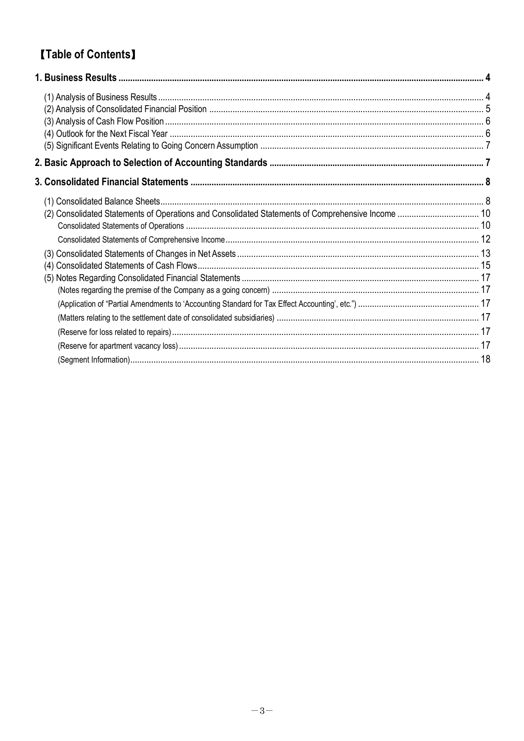# **[Table of Contents]**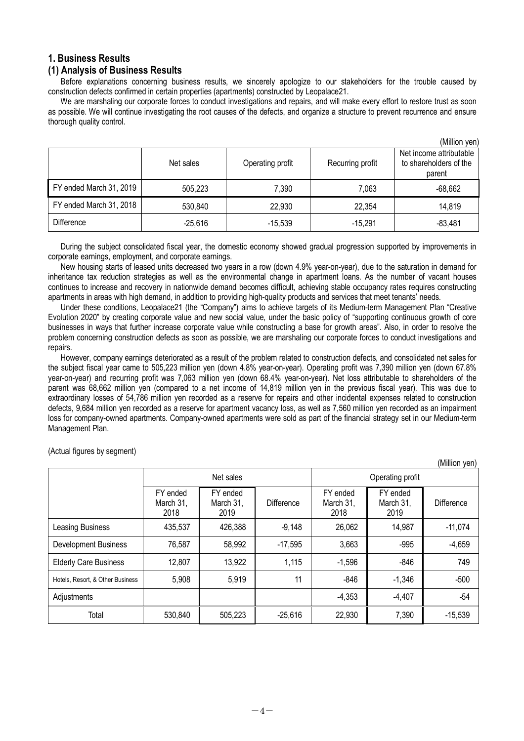# **1. Business Results**

### **(1) Analysis of Business Results**

Before explanations concerning business results, we sincerely apologize to our stakeholders for the trouble caused by construction defects confirmed in certain properties (apartments) constructed by Leopalace21.

We are marshaling our corporate forces to conduct investigations and repairs, and will make every effort to restore trust as soon as possible. We will continue investigating the root causes of the defects, and organize a structure to prevent recurrence and ensure thorough quality control.

|                         |           |                  |                  | (Million yen)                                               |
|-------------------------|-----------|------------------|------------------|-------------------------------------------------------------|
|                         | Net sales | Operating profit | Recurring profit | Net income attributable<br>to shareholders of the<br>parent |
| FY ended March 31, 2019 | 505,223   | 7,390            | 7,063            | $-68,662$                                                   |
| FY ended March 31, 2018 | 530,840   | 22,930           | 22,354           | 14,819                                                      |
| <b>Difference</b>       | $-25,616$ | $-15,539$        | $-15,291$        | $-83,481$                                                   |

During the subject consolidated fiscal year, the domestic economy showed gradual progression supported by improvements in corporate earnings, employment, and corporate earnings.

New housing starts of leased units decreased two years in a row (down 4.9% year-on-year), due to the saturation in demand for inheritance tax reduction strategies as well as the environmental change in apartment loans. As the number of vacant houses continues to increase and recovery in nationwide demand becomes difficult, achieving stable occupancy rates requires constructing apartments in areas with high demand, in addition to providing high-quality products and services that meet tenants' needs.

Under these conditions, Leopalace21 (the "Company") aims to achieve targets of its Medium-term Management Plan "Creative Evolution 2020" by creating corporate value and new social value, under the basic policy of "supporting continuous growth of core businesses in ways that further increase corporate value while constructing a base for growth areas". Also, in order to resolve the problem concerning construction defects as soon as possible, we are marshaling our corporate forces to conduct investigations and repairs

However, company earnings deteriorated as a result of the problem related to construction defects, and consolidated net sales for the subject fiscal year came to 505,223 million yen (down 4.8% year-on-year). Operating profit was 7,390 million yen (down 67.8% year-on-year) and recurring profit was 7,063 million yen (down 68.4% year-on-year). Net loss attributable to shareholders of the parent was 68,662 million yen (compared to a net income of 14,819 million yen in the previous fiscal year). This was due to extraordinary losses of 54,786 million yen recorded as a reserve for repairs and other incidental expenses related to construction defects, 9,684 million yen recorded as a reserve for apartment vacancy loss, as well as 7,560 million yen recorded as an impairment loss for company-owned apartments. Company-owned apartments were sold as part of the financial strategy set in our Medium-term Management Plan.

(Million yen) Net sales **Net sales** Operating profit FY ended March 31, 2018 FY ended March 31, 2019 **Difference** FY ended March 31, 2018 FY ended March 31, 2019 **Difference** Leasing Business 1 435,537 426,388 -9,148 26,062 14,987 -11,074 Development Business | 76,587 | 58,992 | -17,595 | 3,663 | -995 | -4,659 Elderly Care Business | 12,807 | 13,922 | 1,115 | -1,596 | -846 | 749 Hotels, Resort, & Other Business | 5,908 | 5,919 | 11 | -846 | -1,346 | -500 Adjustments -4,353 -4,407 | -54 Total 530,840 505,223 -25,616 22,930 7,390 -15,539

(Actual figures by segment)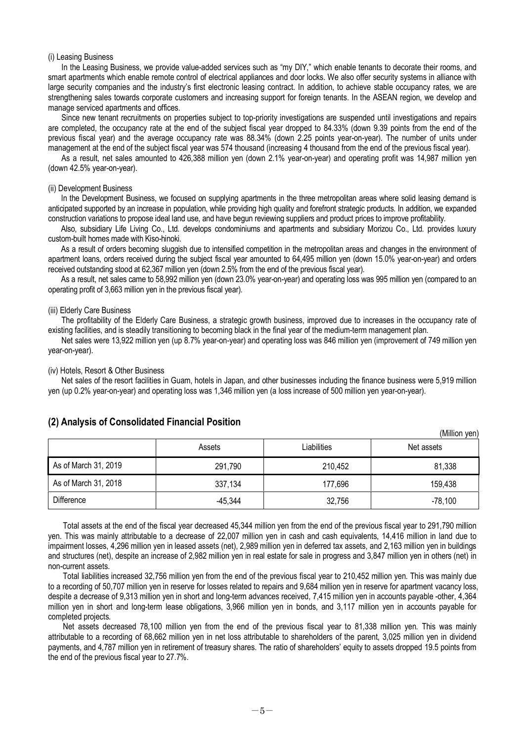#### (i) Leasing Business

In the Leasing Business, we provide value-added services such as "my DIY," which enable tenants to decorate their rooms, and smart apartments which enable remote control of electrical appliances and door locks. We also offer security systems in alliance with large security companies and the industry's first electronic leasing contract. In addition, to achieve stable occupancy rates, we are strengthening sales towards corporate customers and increasing support for foreign tenants. In the ASEAN region, we develop and manage serviced apartments and offices.

Since new tenant recruitments on properties subject to top-priority investigations are suspended until investigations and repairs are completed, the occupancy rate at the end of the subject fiscal year dropped to 84.33% (down 9.39 points from the end of the previous fiscal year) and the average occupancy rate was 88.34% (down 2.25 points year-on-year). The number of units under management at the end of the subject fiscal year was 574 thousand (increasing 4 thousand from the end of the previous fiscal year).

As a result, net sales amounted to 426,388 million yen (down 2.1% year-on-year) and operating profit was 14,987 million yen (down 42.5% year-on-year).

#### (ii) Development Business

In the Development Business, we focused on supplying apartments in the three metropolitan areas where solid leasing demand is anticipated supported by an increase in population, while providing high quality and forefront strategic products. In addition, we expanded construction variations to propose ideal land use, and have begun reviewing suppliers and product prices to improve profitability.

Also, subsidiary Life Living Co., Ltd. develops condominiums and apartments and subsidiary Morizou Co., Ltd. provides luxury custom-built homes made with Kiso-hinoki.

As a result of orders becoming sluggish due to intensified competition in the metropolitan areas and changes in the environment of apartment loans, orders received during the subject fiscal year amounted to 64,495 million yen (down 15.0% year-on-year) and orders received outstanding stood at 62,367 million yen (down 2.5% from the end of the previous fiscal year).

As a result, net sales came to 58,992 million yen (down 23.0% year-on-year) and operating loss was 995 million yen (compared to an operating profit of 3,663 million yen in the previous fiscal year).

#### (iii) Elderly Care Business

The profitability of the Elderly Care Business, a strategic growth business, improved due to increases in the occupancy rate of existing facilities, and is steadily transitioning to becoming black in the final year of the medium-term management plan.

Net sales were 13,922 million yen (up 8.7% year-on-year) and operating loss was 846 million yen (improvement of 749 million yen year-on-year).

#### (iv) Hotels, Resort & Other Business

Net sales of the resort facilities in Guam, hotels in Japan, and other businesses including the finance business were 5,919 million yen (up 0.2% year-on-year) and operating loss was 1,346 million yen (a loss increase of 500 million yen year-on-year).

|                      |                       |         | (IVIIIIIUII VEIT |
|----------------------|-----------------------|---------|------------------|
|                      | Liabilities<br>Assets |         | Net assets       |
| As of March 31, 2019 | 291,790               | 210,452 | 81,338           |
| As of March 31, 2018 | 337,134               | 177,696 | 159,438          |
| Difference           | $-45,344$             | 32,756  | $-78,100$        |

 $(M)$ llion  $(2n)$ 

#### **(2) Analysis of Consolidated Financial Position**

Total assets at the end of the fiscal year decreased 45,344 million yen from the end of the previous fiscal year to 291,790 million yen. This was mainly attributable to a decrease of 22,007 million yen in cash and cash equivalents, 14,416 million in land due to impairment losses, 4,296 million yen in leased assets (net), 2,989 million yen in deferred tax assets, and 2,163 million yen in buildings and structures (net), despite an increase of 2,982 million yen in real estate for sale in progress and 3,847 million yen in others (net) in non-current assets.

Total liabilities increased 32,756 million yen from the end of the previous fiscal year to 210,452 million yen. This was mainly due to a recording of 50,707 million yen in reserve for losses related to repairs and 9,684 million yen in reserve for apartment vacancy loss, despite a decrease of 9,313 million yen in short and long-term advances received, 7,415 million yen in accounts payable -other, 4,364 million yen in short and long-term lease obligations, 3,966 million yen in bonds, and 3,117 million yen in accounts payable for completed projects.

Net assets decreased 78,100 million yen from the end of the previous fiscal year to 81,338 million yen. This was mainly attributable to a recording of 68,662 million yen in net loss attributable to shareholders of the parent, 3,025 million yen in dividend payments, and 4,787 million yen in retirement of treasury shares. The ratio of shareholders' equity to assets dropped 19.5 points from the end of the previous fiscal year to 27.7%.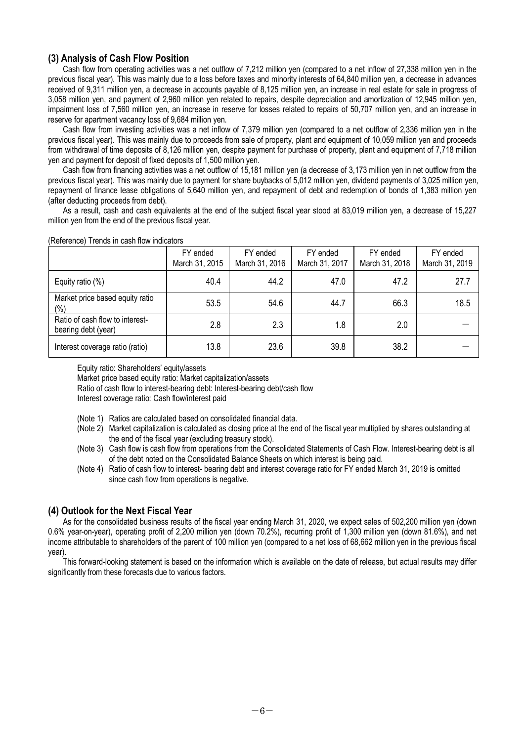# **(3) Analysis of Cash Flow Position**

Cash flow from operating activities was a net outflow of 7,212 million yen (compared to a net inflow of 27,338 million yen in the previous fiscal year). This was mainly due to a loss before taxes and minority interests of 64,840 million yen, a decrease in advances received of 9,311 million yen, a decrease in accounts payable of 8,125 million yen, an increase in real estate for sale in progress of 3,058 million yen, and payment of 2,960 million yen related to repairs, despite depreciation and amortization of 12,945 million yen, impairment loss of 7,560 million yen, an increase in reserve for losses related to repairs of 50,707 million yen, and an increase in reserve for apartment vacancy loss of 9,684 million yen.

Cash flow from investing activities was a net inflow of 7,379 million yen (compared to a net outflow of 2,336 million yen in the previous fiscal year). This was mainly due to proceeds from sale of property, plant and equipment of 10,059 million yen and proceeds from withdrawal of time deposits of 8,126 million yen, despite payment for purchase of property, plant and equipment of 7,718 million yen and payment for deposit of fixed deposits of 1,500 million yen.

Cash flow from financing activities was a net outflow of 15,181 million yen (a decrease of 3,173 million yen in net outflow from the previous fiscal year). This was mainly due to payment for share buybacks of 5,012 million yen, dividend payments of 3,025 million yen, repayment of finance lease obligations of 5,640 million yen, and repayment of debt and redemption of bonds of 1,383 million yen (after deducting proceeds from debt).

As a result, cash and cash equivalents at the end of the subject fiscal year stood at 83,019 million yen, a decrease of 15,227 million yen from the end of the previous fiscal year.

|                                                        | FY ended<br>March 31, 2015 | FY ended<br>March 31, 2016 | FY ended<br>March 31, 2017 | FY ended<br>March 31, 2018 | FY ended<br>March 31, 2019 |
|--------------------------------------------------------|----------------------------|----------------------------|----------------------------|----------------------------|----------------------------|
| Equity ratio (%)                                       | 40.4                       | 44.2                       | 47.0                       | 47.2                       | 27.7                       |
| Market price based equity ratio<br>$(\%)$              | 53.5                       | 54.6                       | 44.7                       | 66.3                       | 18.5                       |
| Ratio of cash flow to interest-<br>bearing debt (year) | 2.8                        | 2.3                        | 1.8                        | 2.0                        |                            |
| Interest coverage ratio (ratio)                        | 13.8                       | 23.6                       | 39.8                       | 38.2                       |                            |

#### (Reference) Trends in cash flow indicators

Equity ratio: Shareholders' equity/assets

Market price based equity ratio: Market capitalization/assets

Ratio of cash flow to interest-bearing debt: Interest-bearing debt/cash flow

Interest coverage ratio: Cash flow/interest paid

- (Note 1) Ratios are calculated based on consolidated financial data.
- (Note 2) Market capitalization is calculated as closing price at the end of the fiscal year multiplied by shares outstanding at the end of the fiscal year (excluding treasury stock).
- (Note 3) Cash flow is cash flow from operations from the Consolidated Statements of Cash Flow. Interest-bearing debt is all of the debt noted on the Consolidated Balance Sheets on which interest is being paid.
- (Note 4) Ratio of cash flow to interest- bearing debt and interest coverage ratio for FY ended March 31, 2019 is omitted since cash flow from operations is negative.

# **(4) Outlook for the Next Fiscal Year**

As for the consolidated business results of the fiscal year ending March 31, 2020, we expect sales of 502,200 million yen (down 0.6% year-on-year), operating profit of 2,200 million yen (down 70.2%), recurring profit of 1,300 million yen (down 81.6%), and net income attributable to shareholders of the parent of 100 million yen (compared to a net loss of 68,662 million yen in the previous fiscal year).

This forward-looking statement is based on the information which is available on the date of release, but actual results may differ significantly from these forecasts due to various factors.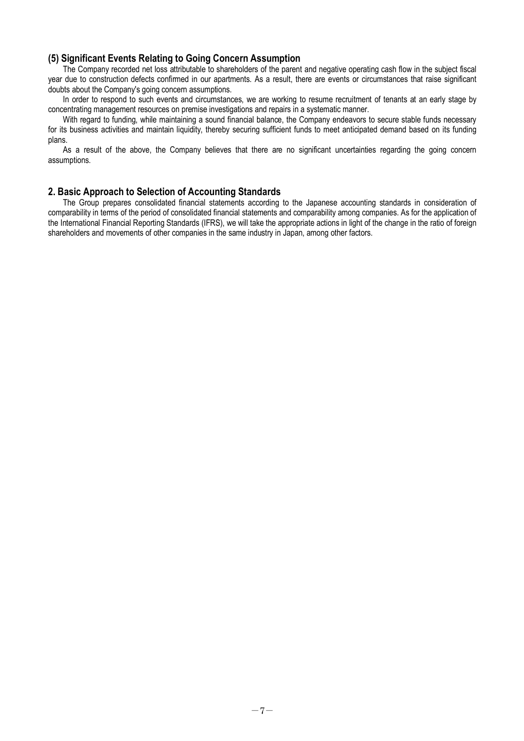### **(5) Significant Events Relating to Going Concern Assumption**

The Company recorded net loss attributable to shareholders of the parent and negative operating cash flow in the subject fiscal year due to construction defects confirmed in our apartments. As a result, there are events or circumstances that raise significant doubts about the Company's going concern assumptions.

In order to respond to such events and circumstances, we are working to resume recruitment of tenants at an early stage by concentrating management resources on premise investigations and repairs in a systematic manner.

With regard to funding, while maintaining a sound financial balance, the Company endeavors to secure stable funds necessary for its business activities and maintain liquidity, thereby securing sufficient funds to meet anticipated demand based on its funding plans.

As a result of the above, the Company believes that there are no significant uncertainties regarding the going concern assumptions.

### **2. Basic Approach to Selection of Accounting Standards**

The Group prepares consolidated financial statements according to the Japanese accounting standards in consideration of comparability in terms of the period of consolidated financial statements and comparability among companies. As for the application of the International Financial Reporting Standards (IFRS), we will take the appropriate actions in light of the change in the ratio of foreign shareholders and movements of other companies in the same industry in Japan, among other factors.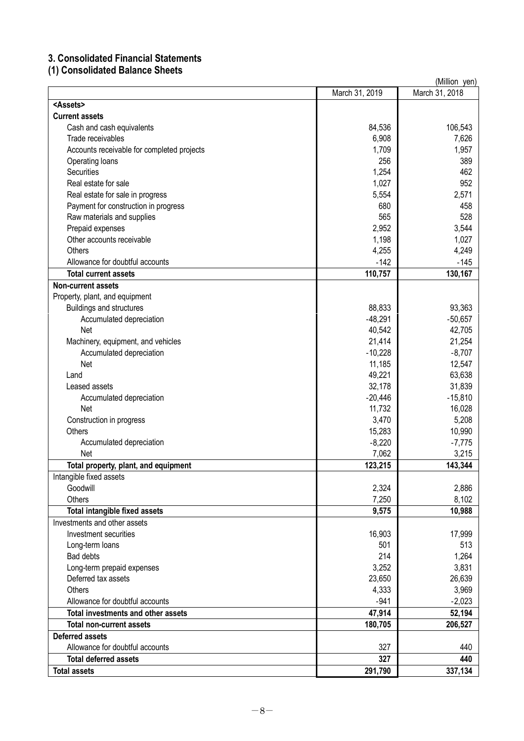# **3. Consolidated Financial Statements**

# **(1) Consolidated Balance Sheets**

|                                            |                   | (Million yen)     |
|--------------------------------------------|-------------------|-------------------|
|                                            | March 31, 2019    | March 31, 2018    |
| <assets></assets>                          |                   |                   |
| <b>Current assets</b>                      |                   |                   |
| Cash and cash equivalents                  | 84,536            | 106,543           |
| Trade receivables                          | 6,908             | 7,626             |
| Accounts receivable for completed projects | 1,709             | 1,957             |
| Operating loans                            | 256               | 389               |
| <b>Securities</b>                          | 1,254             | 462               |
| Real estate for sale                       | 1,027             | 952               |
| Real estate for sale in progress           | 5,554             | 2,571             |
| Payment for construction in progress       | 680               | 458               |
| Raw materials and supplies                 | 565               | 528               |
| Prepaid expenses                           | 2,952             | 3,544             |
| Other accounts receivable                  | 1,198             | 1,027             |
| <b>Others</b>                              | 4,255             | 4,249             |
| Allowance for doubtful accounts            | $-142$            | $-145$            |
| <b>Total current assets</b>                | 110,757           | 130,167           |
| <b>Non-current assets</b>                  |                   |                   |
| Property, plant, and equipment             |                   |                   |
| <b>Buildings and structures</b>            | 88,833            | 93,363            |
| Accumulated depreciation                   | $-48,291$         | $-50,657$         |
| <b>Net</b>                                 | 40,542            | 42,705            |
| Machinery, equipment, and vehicles         | 21,414            | 21,254            |
| Accumulated depreciation                   | $-10,228$         | $-8,707$          |
| Net                                        | 11,185            | 12,547            |
| Land                                       | 49,221            | 63,638            |
| Leased assets                              | 32,178            | 31,839            |
|                                            | $-20,446$         | $-15,810$         |
| Accumulated depreciation<br>Net            | 11,732            | 16,028            |
|                                            | 3,470             | 5,208             |
| Construction in progress<br><b>Others</b>  | 15,283            | 10,990            |
|                                            |                   |                   |
| Accumulated depreciation<br>Net            | $-8,220$<br>7,062 | $-7,775$<br>3,215 |
| Total property, plant, and equipment       | 123,215           | 143,344           |
| Intangible fixed assets                    |                   |                   |
| Goodwill                                   | 2,324             | 2,886             |
| Others                                     | 7,250             | 8,102             |
| <b>Total intangible fixed assets</b>       | 9,575             | 10,988            |
| Investments and other assets               |                   |                   |
| Investment securities                      | 16,903            | 17,999            |
| Long-term loans                            | 501               | 513               |
| <b>Bad debts</b>                           | 214               | 1,264             |
| Long-term prepaid expenses                 | 3,252             | 3,831             |
| Deferred tax assets                        | 23,650            | 26,639            |
| <b>Others</b>                              | 4,333             | 3,969             |
| Allowance for doubtful accounts            | $-941$            | $-2,023$          |
| Total investments and other assets         | 47,914            | 52,194            |
| <b>Total non-current assets</b>            | 180,705           | 206,527           |
| <b>Deferred assets</b>                     |                   |                   |
| Allowance for doubtful accounts            | 327               | 440               |
| <b>Total deferred assets</b>               | 327               | 440               |
| <b>Total assets</b>                        | 291,790           | 337,134           |
|                                            |                   |                   |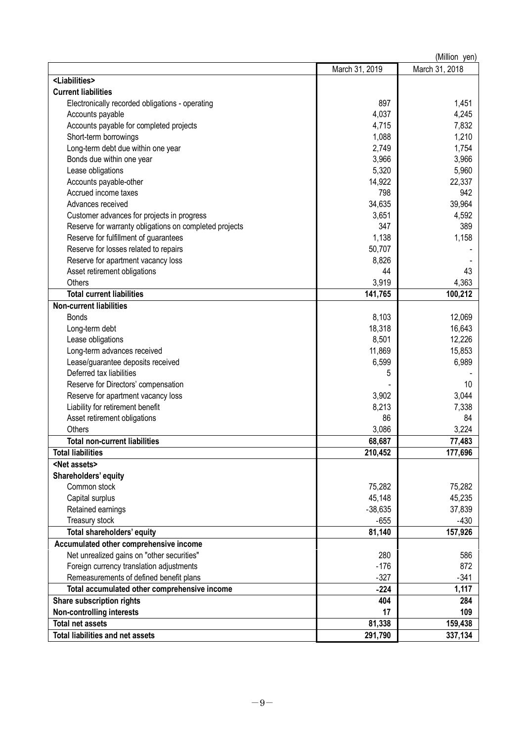|                                                        |                | (Million yen)  |
|--------------------------------------------------------|----------------|----------------|
|                                                        | March 31, 2019 | March 31, 2018 |
| <liabilities></liabilities>                            |                |                |
| <b>Current liabilities</b>                             |                |                |
| Electronically recorded obligations - operating        | 897            | 1,451          |
| Accounts payable                                       | 4,037          | 4,245          |
| Accounts payable for completed projects                | 4,715          | 7,832          |
| Short-term borrowings                                  | 1,088          | 1,210          |
| Long-term debt due within one year                     | 2,749          | 1,754          |
| Bonds due within one year                              | 3,966          | 3,966          |
| Lease obligations                                      | 5,320          | 5,960          |
| Accounts payable-other                                 | 14,922         | 22,337         |
| Accrued income taxes                                   | 798            | 942            |
| Advances received                                      | 34,635         | 39,964         |
| Customer advances for projects in progress             | 3,651          | 4,592          |
| Reserve for warranty obligations on completed projects | 347            | 389            |
| Reserve for fulfillment of guarantees                  | 1,138          | 1,158          |
| Reserve for losses related to repairs                  | 50,707         |                |
| Reserve for apartment vacancy loss                     | 8,826          |                |
| Asset retirement obligations                           | 44             | 43             |
| Others                                                 | 3,919          | 4,363          |
| <b>Total current liabilities</b>                       | 141,765        | 100,212        |
| <b>Non-current liabilities</b>                         |                |                |
| <b>Bonds</b>                                           | 8,103          | 12,069         |
| Long-term debt                                         | 18,318         | 16,643         |
| Lease obligations                                      | 8,501          | 12,226         |
| Long-term advances received                            | 11,869         | 15,853         |
| Lease/guarantee deposits received                      | 6,599          | 6,989          |
| Deferred tax liabilities                               | 5              |                |
| Reserve for Directors' compensation                    |                | 10             |
| Reserve for apartment vacancy loss                     | 3,902          | 3,044          |
| Liability for retirement benefit                       | 8,213          | 7,338          |
| Asset retirement obligations                           | 86             | 84             |
| Others                                                 | 3,086          | 3,224          |
| <b>Total non-current liabilities</b>                   | 68,687         | 77,483         |
| <b>Total liabilities</b>                               | 210,452        | 177,696        |
| <net assets=""></net>                                  |                |                |
| Shareholders' equity                                   |                |                |
| Common stock                                           | 75,282         | 75,282         |
| Capital surplus                                        | 45,148         | 45,235         |
| Retained earnings                                      | $-38,635$      | 37,839         |
| Treasury stock                                         | $-655$         | $-430$         |
| <b>Total shareholders' equity</b>                      | 81,140         | 157,926        |
| Accumulated other comprehensive income                 |                |                |
| Net unrealized gains on "other securities"             | 280            | 586            |
| Foreign currency translation adjustments               | $-176$         | 872            |
| Remeasurements of defined benefit plans                | $-327$         | $-341$         |
| Total accumulated other comprehensive income           | $-224$         | 1,117          |
| Share subscription rights                              | 404            | 284            |
| <b>Non-controlling interests</b>                       | 17             | 109            |
| <b>Total net assets</b>                                | 81,338         | 159,438        |
| <b>Total liabilities and net assets</b>                | 291,790        | 337,134        |
|                                                        |                |                |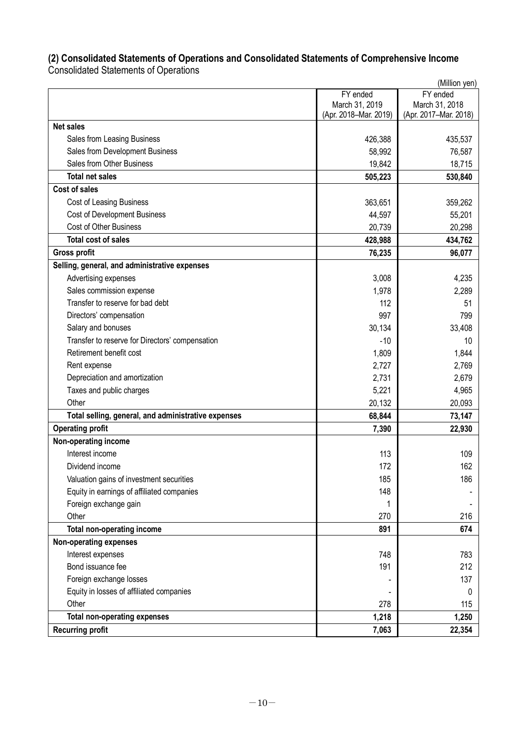# **(2) Consolidated Statements of Operations and Consolidated Statements of Comprehensive Income**

Consolidated Statements of Operations

|                                                     |                       | (Million yen)         |
|-----------------------------------------------------|-----------------------|-----------------------|
|                                                     | FY ended              | FY ended              |
|                                                     | March 31, 2019        | March 31, 2018        |
|                                                     | (Apr. 2018-Mar. 2019) | (Apr. 2017-Mar. 2018) |
| <b>Net sales</b>                                    |                       |                       |
| Sales from Leasing Business                         | 426,388               | 435,537               |
| Sales from Development Business                     | 58,992                | 76,587                |
| Sales from Other Business                           | 19,842                | 18,715                |
| <b>Total net sales</b>                              | 505,223               | 530,840               |
| <b>Cost of sales</b>                                |                       |                       |
| Cost of Leasing Business                            | 363,651               | 359,262               |
| <b>Cost of Development Business</b>                 | 44,597                | 55,201                |
| Cost of Other Business                              | 20,739                | 20,298                |
| <b>Total cost of sales</b>                          | 428,988               | 434,762               |
| <b>Gross profit</b>                                 | 76,235                | 96,077                |
| Selling, general, and administrative expenses       |                       |                       |
| Advertising expenses                                | 3,008                 | 4,235                 |
| Sales commission expense                            | 1,978                 | 2,289                 |
| Transfer to reserve for bad debt                    | 112                   | 51                    |
| Directors' compensation                             | 997                   | 799                   |
| Salary and bonuses                                  | 30,134                | 33,408                |
| Transfer to reserve for Directors' compensation     | $-10$                 | 10                    |
| Retirement benefit cost                             | 1,809                 | 1,844                 |
| Rent expense                                        | 2,727                 | 2,769                 |
| Depreciation and amortization                       | 2,731                 | 2,679                 |
| Taxes and public charges                            | 5,221                 | 4,965                 |
| Other                                               | 20,132                | 20,093                |
| Total selling, general, and administrative expenses | 68,844                | 73,147                |
| <b>Operating profit</b>                             | 7,390                 | 22,930                |
| Non-operating income                                |                       |                       |
| Interest income                                     | 113                   | 109                   |
| Dividend income                                     | 172                   | 162                   |
| Valuation gains of investment securities            | 185                   | 186                   |
| Equity in earnings of affiliated companies          | 148                   |                       |
| Foreign exchange gain                               | 1                     |                       |
| Other                                               | 270                   | 216                   |
| Total non-operating income                          | 891                   | 674                   |
| Non-operating expenses                              |                       |                       |
| Interest expenses                                   | 748                   | 783                   |
| Bond issuance fee                                   | 191                   | 212                   |
| Foreign exchange losses                             |                       | 137                   |
| Equity in losses of affiliated companies            |                       | 0                     |
| Other                                               | 278                   | 115                   |
| <b>Total non-operating expenses</b>                 | 1,218                 | 1,250                 |
| <b>Recurring profit</b>                             | 7,063                 | 22,354                |
|                                                     |                       |                       |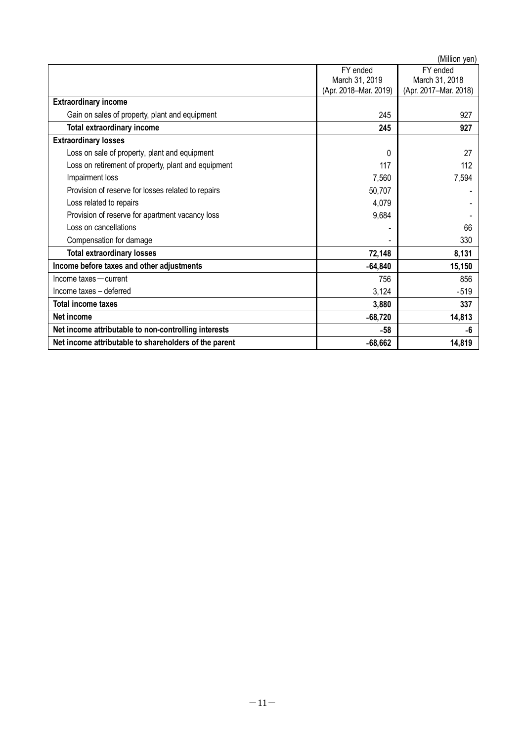|                                                       |                       | (Million yen)         |
|-------------------------------------------------------|-----------------------|-----------------------|
|                                                       | FY ended              | FY ended              |
|                                                       | March 31, 2019        | March 31, 2018        |
|                                                       | (Apr. 2018-Mar. 2019) | (Apr. 2017-Mar. 2018) |
| <b>Extraordinary income</b>                           |                       |                       |
| Gain on sales of property, plant and equipment        | 245                   | 927                   |
| <b>Total extraordinary income</b>                     | 245                   | 927                   |
| <b>Extraordinary losses</b>                           |                       |                       |
| Loss on sale of property, plant and equipment         | 0                     | 27                    |
| Loss on retirement of property, plant and equipment   | 117                   | 112                   |
| Impairment loss                                       | 7,560                 | 7,594                 |
| Provision of reserve for losses related to repairs    | 50,707                |                       |
| Loss related to repairs                               | 4,079                 |                       |
| Provision of reserve for apartment vacancy loss       | 9,684                 |                       |
| Loss on cancellations                                 |                       | 66                    |
| Compensation for damage                               |                       | 330                   |
| <b>Total extraordinary losses</b>                     | 72,148                | 8,131                 |
| Income before taxes and other adjustments             | $-64,840$             | 15,150                |
| $lncome$ taxes $-$ current                            | 756                   | 856                   |
| Income taxes - deferred                               | 3,124                 | $-519$                |
| <b>Total income taxes</b>                             | 3,880                 | 337                   |
| Net income                                            | $-68,720$             | 14,813                |
| Net income attributable to non-controlling interests  | -58                   | -6                    |
| Net income attributable to shareholders of the parent | $-68,662$             | 14,819                |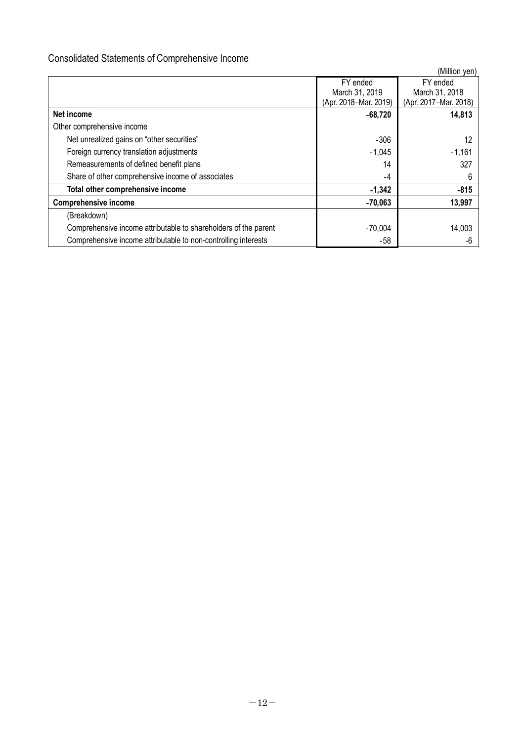# Consolidated Statements of Comprehensive Income

|                                                                 |                       | (Million yen)         |
|-----------------------------------------------------------------|-----------------------|-----------------------|
|                                                                 | FY ended              | FY ended              |
|                                                                 | March 31, 2019        | March 31, 2018        |
|                                                                 | (Apr. 2018-Mar. 2019) | (Apr. 2017-Mar. 2018) |
| Net income                                                      | $-68,720$             | 14,813                |
| Other comprehensive income                                      |                       |                       |
| Net unrealized gains on "other securities"                      | $-306$                | 12                    |
| Foreign currency translation adjustments                        | $-1,045$              | $-1,161$              |
| Remeasurements of defined benefit plans                         | 14                    | 327                   |
| Share of other comprehensive income of associates               | -4                    | 6                     |
| Total other comprehensive income                                | $-1,342$              | $-815$                |
| <b>Comprehensive income</b>                                     | $-70,063$             | 13,997                |
| (Breakdown)                                                     |                       |                       |
| Comprehensive income attributable to shareholders of the parent | $-70,004$             | 14,003                |
| Comprehensive income attributable to non-controlling interests  | -58                   |                       |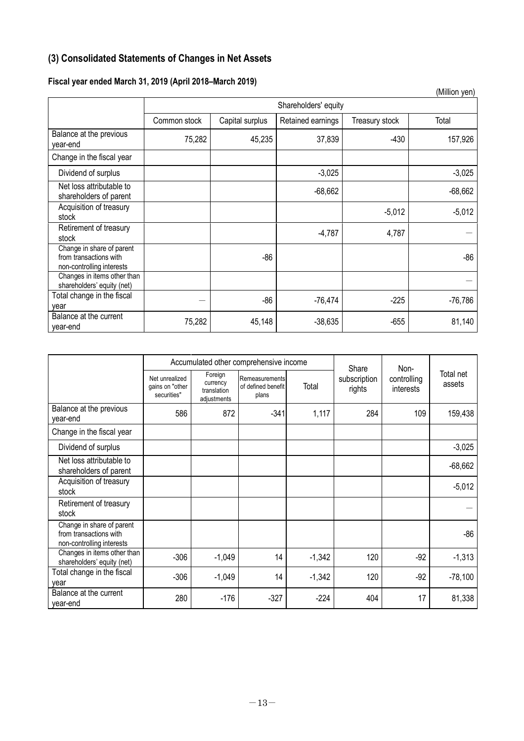# **(3) Consolidated Statements of Changes in Net Assets**

# **Fiscal year ended March 31, 2019 (April 2018–March 2019)**

|                                                                                  |                      |                 |                   |                | (Million yen) |  |
|----------------------------------------------------------------------------------|----------------------|-----------------|-------------------|----------------|---------------|--|
|                                                                                  | Shareholders' equity |                 |                   |                |               |  |
|                                                                                  | Common stock         | Capital surplus | Retained earnings | Treasury stock | Total         |  |
| Balance at the previous<br>year-end                                              | 75,282               | 45,235          | 37,839            | $-430$         | 157,926       |  |
| Change in the fiscal year                                                        |                      |                 |                   |                |               |  |
| Dividend of surplus                                                              |                      |                 | $-3,025$          |                | $-3,025$      |  |
| Net loss attributable to<br>shareholders of parent                               |                      |                 | $-68,662$         |                | $-68,662$     |  |
| Acquisition of treasury<br>stock                                                 |                      |                 |                   | $-5,012$       | $-5,012$      |  |
| Retirement of treasury<br>stock                                                  |                      |                 | $-4,787$          | 4,787          |               |  |
| Change in share of parent<br>from transactions with<br>non-controlling interests |                      | $-86$           |                   |                | $-86$         |  |
| Changes in items other than<br>shareholders' equity (net)                        |                      |                 |                   |                |               |  |
| Total change in the fiscal<br>vear                                               |                      | $-86$           | $-76,474$         | $-225$         | $-76,786$     |  |
| Balance at the current<br>year-end                                               | 75,282               | 45,148          | $-38,635$         | $-655$         | 81,140        |  |

|                                                                                  | Accumulated other comprehensive income           |                                                   |                                               |          | Share                  | Non-                     |                     |
|----------------------------------------------------------------------------------|--------------------------------------------------|---------------------------------------------------|-----------------------------------------------|----------|------------------------|--------------------------|---------------------|
|                                                                                  | Net unrealized<br>gains on "other<br>securities" | Foreign<br>currency<br>translation<br>adjustments | Remeasurements<br>of defined benefit<br>plans | Total    | subscription<br>rights | controlling<br>interests | Total net<br>assets |
| Balance at the previous<br>year-end                                              | 586                                              | 872                                               | $-341$                                        | 1,117    | 284                    | 109                      | 159,438             |
| Change in the fiscal year                                                        |                                                  |                                                   |                                               |          |                        |                          |                     |
| Dividend of surplus                                                              |                                                  |                                                   |                                               |          |                        |                          | $-3,025$            |
| Net loss attributable to<br>shareholders of parent                               |                                                  |                                                   |                                               |          |                        |                          | $-68,662$           |
| Acquisition of treasury<br>stock                                                 |                                                  |                                                   |                                               |          |                        |                          | $-5,012$            |
| Retirement of treasury<br>stock                                                  |                                                  |                                                   |                                               |          |                        |                          |                     |
| Change in share of parent<br>from transactions with<br>non-controlling interests |                                                  |                                                   |                                               |          |                        |                          | $-86$               |
| Changes in items other than<br>shareholders' equity (net)                        | $-306$                                           | $-1,049$                                          | 14                                            | $-1,342$ | 120                    | $-92$                    | $-1,313$            |
| Total change in the fiscal<br>vear                                               | $-306$                                           | $-1,049$                                          | 14                                            | $-1,342$ | 120                    | $-92$                    | $-78,100$           |
| Balance at the current<br>year-end                                               | 280                                              | $-176$                                            | $-327$                                        | $-224$   | 404                    | 17                       | 81,338              |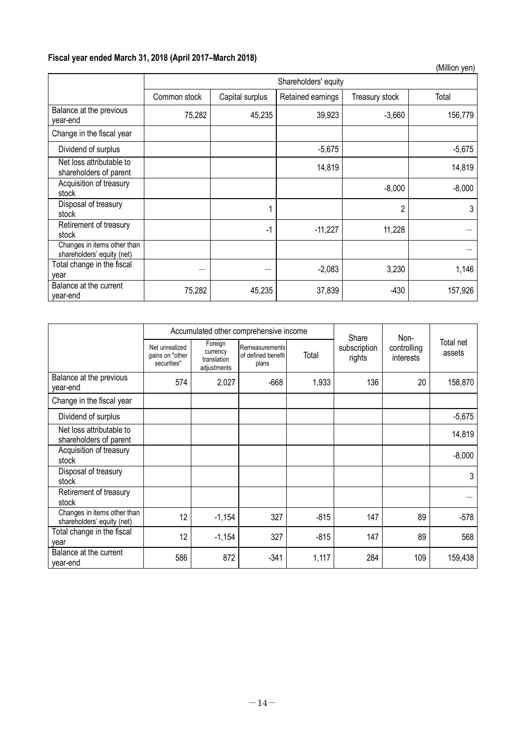# **Fiscal year ended March 31, 2018 (April 2017–March 2018)**

|                                                           |              |                      |                   |                | (Million yen) |  |  |
|-----------------------------------------------------------|--------------|----------------------|-------------------|----------------|---------------|--|--|
|                                                           |              | Shareholders' equity |                   |                |               |  |  |
|                                                           | Common stock | Capital surplus      | Retained earnings | Treasury stock | Total         |  |  |
| Balance at the previous<br>year-end                       | 75,282       | 45,235               | 39,923            | $-3,660$       | 156,779       |  |  |
| Change in the fiscal year                                 |              |                      |                   |                |               |  |  |
| Dividend of surplus                                       |              |                      | $-5,675$          |                | $-5,675$      |  |  |
| Net loss attributable to<br>shareholders of parent        |              |                      | 14,819            |                | 14,819        |  |  |
| Acquisition of treasury<br>stock                          |              |                      |                   | $-8,000$       | $-8,000$      |  |  |
| Disposal of treasury<br>stock                             |              |                      |                   | $\overline{2}$ | 3             |  |  |
| Retirement of treasury<br>stock                           |              | $-1$                 | $-11,227$         | 11,228         |               |  |  |
| Changes in items other than<br>shareholders' equity (net) |              |                      |                   |                |               |  |  |
| Total change in the fiscal<br>year                        |              |                      | $-2,083$          | 3,230          | 1,146         |  |  |
| Balance at the current<br>year-end                        | 75,282       | 45,235               | 37,839            | $-430$         | 157,926       |  |  |

|                                                           |                                                  |                                                   | Accumulated other comprehensive income        |        | Share                  | Non-                     |                     |
|-----------------------------------------------------------|--------------------------------------------------|---------------------------------------------------|-----------------------------------------------|--------|------------------------|--------------------------|---------------------|
|                                                           | Net unrealized<br>gains on "other<br>securities" | Foreign<br>currency<br>translation<br>adjustments | Remeasurements<br>of defined benefit<br>plans | Total  | subscription<br>rights | controlling<br>interests | Total net<br>assets |
| Balance at the previous<br>year-end                       | 574                                              | 2,027                                             | $-668$                                        | 1,933  | 136                    | 20                       | 158,870             |
| Change in the fiscal year                                 |                                                  |                                                   |                                               |        |                        |                          |                     |
| Dividend of surplus                                       |                                                  |                                                   |                                               |        |                        |                          | $-5,675$            |
| Net loss attributable to<br>shareholders of parent        |                                                  |                                                   |                                               |        |                        |                          | 14,819              |
| Acquisition of treasury<br>stock                          |                                                  |                                                   |                                               |        |                        |                          | $-8,000$            |
| Disposal of treasury<br>stock                             |                                                  |                                                   |                                               |        |                        |                          | 3                   |
| Retirement of treasury<br>stock                           |                                                  |                                                   |                                               |        |                        |                          |                     |
| Changes in items other than<br>shareholders' equity (net) | 12                                               | $-1,154$                                          | 327                                           | $-815$ | 147                    | 89                       | -578                |
| Total change in the fiscal<br>vear                        | 12                                               | $-1,154$                                          | 327                                           | $-815$ | 147                    | 89                       | 568                 |
| Balance at the current<br>year-end                        | 586                                              | 872                                               | $-341$                                        | 1,117  | 284                    | 109                      | 159,438             |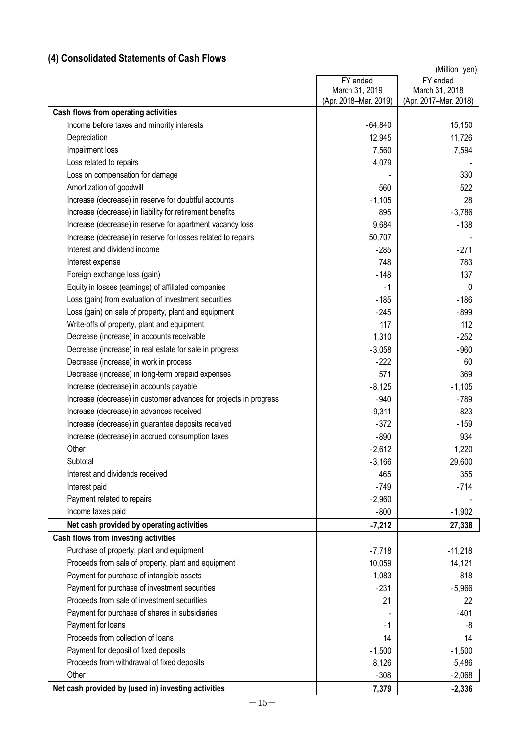# **(4) Consolidated Statements of Cash Flows**

|                                                                   |                       | (Million yen)         |
|-------------------------------------------------------------------|-----------------------|-----------------------|
|                                                                   | FY ended              | FY ended              |
|                                                                   | March 31, 2019        | March 31, 2018        |
|                                                                   | (Apr. 2018-Mar. 2019) | (Apr. 2017-Mar. 2018) |
| Cash flows from operating activities                              |                       |                       |
| Income before taxes and minority interests                        | $-64,840$             | 15,150                |
| Depreciation                                                      | 12,945                | 11,726                |
| Impairment loss                                                   | 7,560                 | 7,594                 |
| Loss related to repairs                                           | 4,079                 |                       |
| Loss on compensation for damage                                   |                       | 330                   |
| Amortization of goodwill                                          | 560                   | 522                   |
| Increase (decrease) in reserve for doubtful accounts              | $-1,105$              | 28                    |
| Increase (decrease) in liability for retirement benefits          | 895                   | $-3,786$              |
| Increase (decrease) in reserve for apartment vacancy loss         | 9,684                 | $-138$                |
| Increase (decrease) in reserve for losses related to repairs      | 50,707                |                       |
| Interest and dividend income                                      | $-285$                | $-271$                |
| Interest expense                                                  | 748                   | 783                   |
| Foreign exchange loss (gain)                                      | $-148$                | 137                   |
| Equity in losses (earnings) of affiliated companies               | $-1$                  | 0                     |
| Loss (gain) from evaluation of investment securities              | $-185$                | $-186$                |
| Loss (gain) on sale of property, plant and equipment              | $-245$                | $-899$                |
| Write-offs of property, plant and equipment                       | 117                   | 112                   |
| Decrease (increase) in accounts receivable                        | 1,310                 | $-252$                |
| Decrease (increase) in real estate for sale in progress           | $-3,058$              | $-960$                |
| Decrease (increase) in work in process                            | $-222$                | 60                    |
| Decrease (increase) in long-term prepaid expenses                 | 571                   | 369                   |
| Increase (decrease) in accounts payable                           | $-8,125$              | $-1,105$              |
| Increase (decrease) in customer advances for projects in progress | $-940$                | $-789$                |
| Increase (decrease) in advances received                          | $-9,311$              | $-823$                |
| Increase (decrease) in guarantee deposits received                | $-372$                | $-159$                |
| Increase (decrease) in accrued consumption taxes                  | $-890$                | 934                   |
| Other                                                             | $-2,612$              | 1,220                 |
| Subtotal                                                          | $-3,166$              | 29,600                |
| Interest and dividends received                                   | 465                   | 355                   |
| Interest paid                                                     | $-749$                | $-714$                |
| Payment related to repairs                                        | $-2,960$              |                       |
| Income taxes paid                                                 | $-800$                | $-1,902$              |
| Net cash provided by operating activities                         | $-7,212$              | 27,338                |
| Cash flows from investing activities                              |                       |                       |
| Purchase of property, plant and equipment                         | $-7,718$              | $-11,218$             |
| Proceeds from sale of property, plant and equipment               | 10,059                | 14,121                |
| Payment for purchase of intangible assets                         | $-1,083$              | $-818$                |
| Payment for purchase of investment securities                     | $-231$                | $-5,966$              |
| Proceeds from sale of investment securities                       | 21                    | 22                    |
| Payment for purchase of shares in subsidiaries                    |                       | $-401$                |
| Payment for loans                                                 | -1                    | -8                    |
| Proceeds from collection of loans                                 | 14                    | 14                    |
| Payment for deposit of fixed deposits                             | $-1,500$              | $-1,500$              |
| Proceeds from withdrawal of fixed deposits                        | 8,126                 | 5,486                 |
| Other                                                             | $-308$                | $-2,068$              |
| Net cash provided by (used in) investing activities               | 7,379                 | $-2,336$              |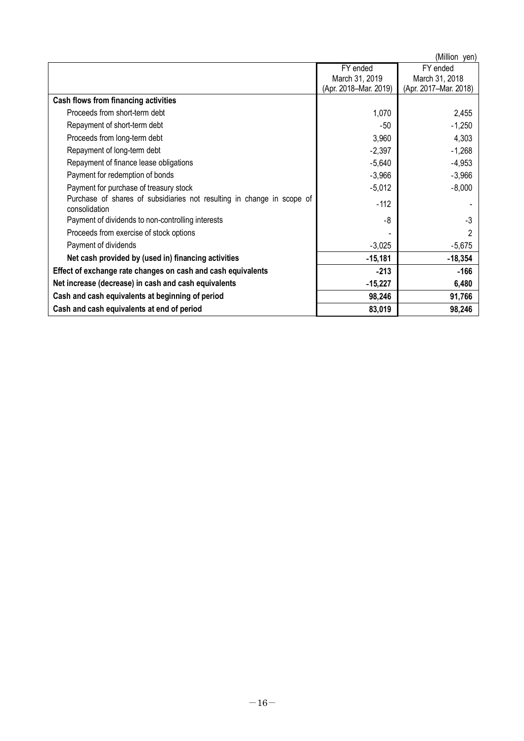|                                                                                         |                       | (Million yen)         |
|-----------------------------------------------------------------------------------------|-----------------------|-----------------------|
|                                                                                         | FY ended              | FY ended              |
|                                                                                         | March 31, 2019        | March 31, 2018        |
|                                                                                         | (Apr. 2018-Mar. 2019) | (Apr. 2017-Mar. 2018) |
| Cash flows from financing activities                                                    |                       |                       |
| Proceeds from short-term debt                                                           | 1,070                 | 2,455                 |
| Repayment of short-term debt                                                            | -50                   | $-1,250$              |
| Proceeds from long-term debt                                                            | 3,960                 | 4,303                 |
| Repayment of long-term debt                                                             | $-2,397$              | $-1,268$              |
| Repayment of finance lease obligations                                                  | $-5,640$              | $-4,953$              |
| Payment for redemption of bonds                                                         | $-3,966$              | $-3,966$              |
| Payment for purchase of treasury stock                                                  | $-5,012$              | $-8,000$              |
| Purchase of shares of subsidiaries not resulting in change in scope of<br>consolidation | $-112$                |                       |
| Payment of dividends to non-controlling interests                                       | -8                    | -3                    |
| Proceeds from exercise of stock options                                                 |                       |                       |
| Payment of dividends                                                                    | $-3,025$              | $-5,675$              |
| Net cash provided by (used in) financing activities                                     | $-15,181$             | $-18,354$             |
| Effect of exchange rate changes on cash and cash equivalents                            | $-213$                | -166                  |
| Net increase (decrease) in cash and cash equivalents                                    | $-15,227$             | 6,480                 |
| Cash and cash equivalents at beginning of period                                        | 98,246                | 91,766                |
| Cash and cash equivalents at end of period                                              | 83,019                | 98,246                |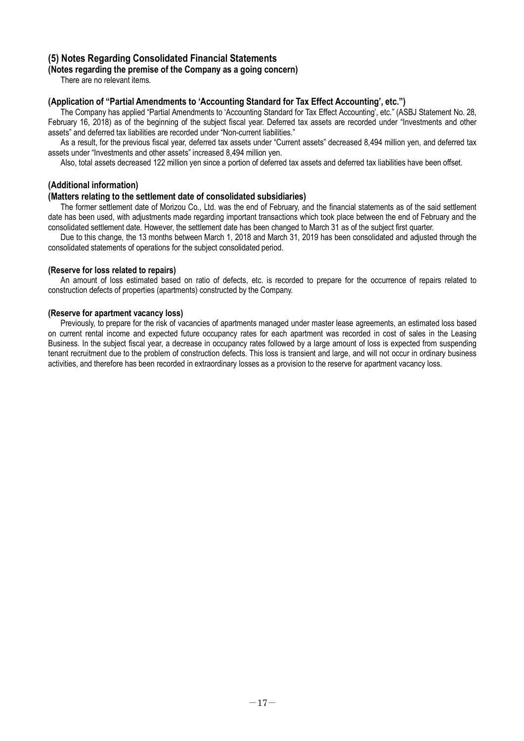# **(5) Notes Regarding Consolidated Financial Statements**

### **(Notes regarding the premise of the Company as a going concern)**

There are no relevant items.

### **(Application of "Partial Amendments to 'Accounting Standard for Tax Effect Accounting', etc.")**

The Company has applied "Partial Amendments to 'Accounting Standard for Tax Effect Accounting', etc." (ASBJ Statement No. 28, February 16, 2018) as of the beginning of the subject fiscal year. Deferred tax assets are recorded under "Investments and other assets" and deferred tax liabilities are recorded under "Non-current liabilities."

As a result, for the previous fiscal year, deferred tax assets under "Current assets" decreased 8,494 million yen, and deferred tax assets under "Investments and other assets" increased 8,494 million yen.

Also, total assets decreased 122 million yen since a portion of deferred tax assets and deferred tax liabilities have been offset.

# **(Additional information)**

### **(Matters relating to the settlement date of consolidated subsidiaries)**

The former settlement date of Morizou Co., Ltd. was the end of February, and the financial statements as of the said settlement date has been used, with adjustments made regarding important transactions which took place between the end of February and the consolidated settlement date. However, the settlement date has been changed to March 31 as of the subject first quarter.

Due to this change, the 13 months between March 1, 2018 and March 31, 2019 has been consolidated and adjusted through the consolidated statements of operations for the subject consolidated period.

### **(Reserve for loss related to repairs)**

An amount of loss estimated based on ratio of defects, etc. is recorded to prepare for the occurrence of repairs related to construction defects of properties (apartments) constructed by the Company.

### **(Reserve for apartment vacancy loss)**

Previously, to prepare for the risk of vacancies of apartments managed under master lease agreements, an estimated loss based on current rental income and expected future occupancy rates for each apartment was recorded in cost of sales in the Leasing Business. In the subject fiscal year, a decrease in occupancy rates followed by a large amount of loss is expected from suspending tenant recruitment due to the problem of construction defects. This loss is transient and large, and will not occur in ordinary business activities, and therefore has been recorded in extraordinary losses as a provision to the reserve for apartment vacancy loss.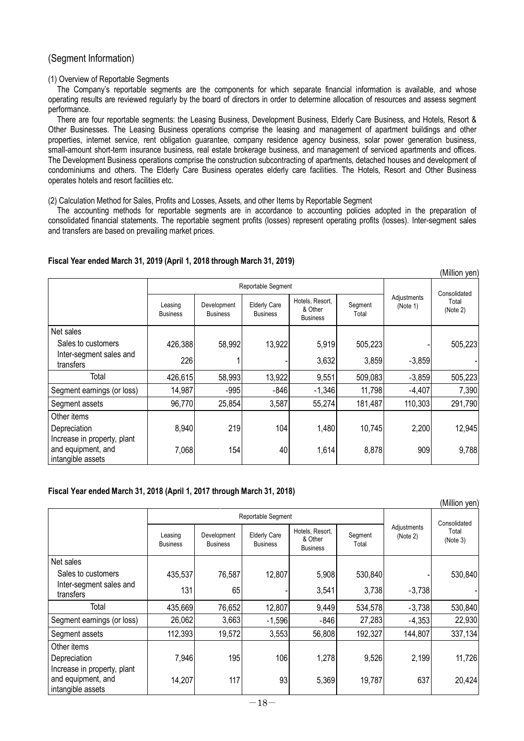# (Segment Information)

### (1) Overview of Reportable Segments

The Company's reportable segments are the components for which separate financial information is available, and whose operating results are reviewed regularly by the board of directors in order to determine allocation of resources and assess segment performance.

There are four reportable segments: the Leasing Business, Development Business, Elderly Care Business, and Hotels, Resort & Other Businesses. The Leasing Business operations comprise the leasing and management of apartment buildings and other properties, internet service, rent obligation guarantee, company residence agency business, solar power generation business, small-amount short-term insurance business, real estate brokerage business, and management of serviced apartments and offices. The Development Business operations comprise the construction subcontracting of apartments, detached houses and development of condominiums and others. The Elderly Care Business operates elderly care facilities. The Hotels, Resort and Other Business operates hotels and resort facilities etc.

(2) Calculation Method for Sales, Profits and Losses, Assets, and other Items by Reportable Segment

The accounting methods for reportable segments are in accordance to accounting policies adopted in the preparation of consolidated financial statements. The reportable segment profits (losses) represent operating profits (losses). Inter-segment sales and transfers are based on prevailing market prices.

(Million yen)

### **Fiscal Year ended March 31, 2019 (April 1, 2018 through March 31, 2019)**

|                                                                        |                            |                                | Reportable Segment                     |                                               |                  |                         | . <b>. .</b> <i>.</i><br>Consolidated<br>Total<br>(Note 2) |
|------------------------------------------------------------------------|----------------------------|--------------------------------|----------------------------------------|-----------------------------------------------|------------------|-------------------------|------------------------------------------------------------|
|                                                                        | Leasing<br><b>Business</b> | Development<br><b>Business</b> | <b>Elderly Care</b><br><b>Business</b> | Hotels, Resort,<br>& Other<br><b>Business</b> | Segment<br>Total | Adjustments<br>(Note 1) |                                                            |
| Net sales                                                              |                            |                                |                                        |                                               |                  |                         |                                                            |
| Sales to customers                                                     | 426,388                    | 58,992                         | 13,922                                 | 5,919                                         | 505,223          |                         | 505,223                                                    |
| Inter-segment sales and<br>transfers                                   | 226                        |                                |                                        | 3,632                                         | 3,859            | $-3,859$                |                                                            |
| Total                                                                  | 426,615                    | 58,993                         | 13,922                                 | 9,551                                         | 509,083          | $-3,859$                | 505,223                                                    |
| Segment earnings (or loss)                                             | 14,987                     | $-995$                         | $-846$                                 | $-1,346$                                      | 11,798           | $-4,407$                | 7,390                                                      |
| Segment assets                                                         | 96,770                     | 25,854                         | 3,587                                  | 55,274                                        | 181,487          | 110,303                 | 291,790                                                    |
| Other items                                                            |                            |                                |                                        |                                               |                  |                         |                                                            |
| Depreciation                                                           | 8,940                      | 219                            | 104                                    | 1,480                                         | 10,745           | 2,200                   | 12,945                                                     |
| Increase in property, plant<br>and equipment, and<br>intangible assets | 7,068                      | 154                            | 40                                     | 1,614                                         | 8,878            | 909                     | 9,788                                                      |

#### **Fiscal Year ended March 31, 2018 (April 1, 2017 through March 31, 2018)**

| (Million yen)                                                          |                            |                                |                                        |                                               |                  |                         |                                   |
|------------------------------------------------------------------------|----------------------------|--------------------------------|----------------------------------------|-----------------------------------------------|------------------|-------------------------|-----------------------------------|
|                                                                        |                            |                                | Reportable Segment                     |                                               |                  |                         | Consolidated<br>Total<br>(Note 3) |
|                                                                        | Leasing<br><b>Business</b> | Development<br><b>Business</b> | <b>Elderly Care</b><br><b>Business</b> | Hotels, Resort,<br>& Other<br><b>Business</b> | Segment<br>Total | Adjustments<br>(Note 2) |                                   |
| Net sales                                                              |                            |                                |                                        |                                               |                  |                         |                                   |
| Sales to customers                                                     | 435,537                    | 76,587                         | 12,807                                 | 5,908                                         | 530,840          |                         | 530,840                           |
| Inter-segment sales and<br>transfers                                   | 131                        | 65                             |                                        | 3,541                                         | 3,738            | $-3,738$                |                                   |
| Total                                                                  | 435,669                    | 76,652                         | 12,807                                 | 9,449                                         | 534,578          | $-3,738$                | 530,840                           |
| Segment earnings (or loss)                                             | 26,062                     | 3,663                          | $-1,596$                               | $-846$                                        | 27,283           | $-4,353$                | 22,930                            |
| Segment assets                                                         | 112,393                    | 19,572                         | 3,553                                  | 56,808                                        | 192,327          | 144,807                 | 337,134                           |
| Other items                                                            |                            |                                |                                        |                                               |                  |                         |                                   |
| Depreciation                                                           | 7,946                      | 195                            | 106                                    | 1,278                                         | 9,526            | 2,199                   | 11,726                            |
| Increase in property, plant<br>and equipment, and<br>intangible assets | 14,207                     | 117                            | 93                                     | 5,369                                         | 19,787           | 637                     | 20,424                            |